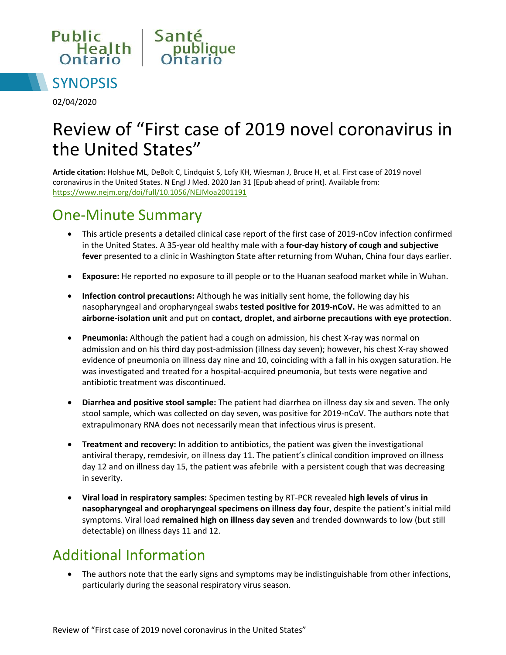



02/04/2020

# Review of "First case of 2019 novel coronavirus in the United States"

**Article citation:** Holshue ML, DeBolt C, Lindquist S, Lofy KH, Wiesman J, Bruce H, et al. First case of 2019 novel coronavirus in the United States. N Engl J Med. 2020 Jan 31 [Epub ahead of print]. Available from: <https://www.nejm.org/doi/full/10.1056/NEJMoa2001191>

#### One-Minute Summary

- This article presents a detailed clinical case report of the first case of 2019-nCov infection confirmed in the United States. A 35-year old healthy male with a **four-day history of cough and subjective fever** presented to a clinic in Washington State after returning from Wuhan, China four days earlier.
- **Exposure:** He reported no exposure to ill people or to the Huanan seafood market while in Wuhan.
- **Infection control precautions:** Although he was initially sent home, the following day his nasopharyngeal and oropharyngeal swabs **tested positive for 2019-nCoV.** He was admitted to an **airborne-isolation unit** and put on **contact, droplet, and airborne precautions with eye protection**.
- **Pneumonia:** Although the patient had a cough on admission, his chest X-ray was normal on admission and on his third day post-admission (illness day seven); however, his chest X-ray showed evidence of pneumonia on illness day nine and 10, coinciding with a fall in his oxygen saturation. He was investigated and treated for a hospital-acquired pneumonia, but tests were negative and antibiotic treatment was discontinued.
- **Diarrhea and positive stool sample:** The patient had diarrhea on illness day six and seven. The only stool sample, which was collected on day seven, was positive for 2019-nCoV. The authors note that extrapulmonary RNA does not necessarily mean that infectious virus is present.
- **Treatment and recovery:** In addition to antibiotics, the patient was given the investigational antiviral therapy, remdesivir, on illness day 11. The patient's clinical condition improved on illness day 12 and on illness day 15, the patient was afebrileUwith a persistent cough that was decreasing in severity.
- **Viral load in respiratory samples:** Specimen testing by RT-PCR revealed **high levels of virus in nasopharyngeal and oropharyngeal specimens on illness day four**, despite the patient's initial mild symptoms. Viral load **remained high on illness day seven** and trended downwards to low (but still detectable) on illness days 11 and 12.

### Additional Information

 The authors note that the early signs and symptoms may be indistinguishable from other infections, particularly during the seasonal respiratory virus season.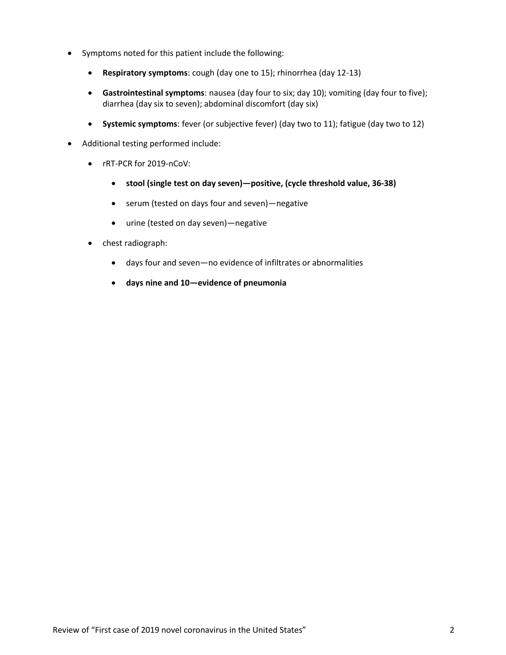- Symptoms noted for this patient include the following:
	- **Respiratory symptoms**: cough (day one to 15); rhinorrhea (day 12-13)
	- **Gastrointestinal symptoms**: nausea (day four to six; day 10); vomiting (day four to five); diarrhea (day six to seven); abdominal discomfort (day six)
	- **Systemic symptoms**: fever (or subjective fever) (day two to 11); fatigue (day two to 12)
- Additional testing performed include:
	- rRT-PCR for 2019-nCoV:
		- **stool (single test on day seven)—positive, (cycle threshold value, 36-38)**
		- serum (tested on days four and seven)—negative
		- urine (tested on day seven)—negative
	- chest radiograph:
		- days four and seven—no evidence of infiltrates or abnormalities
		- **days nine and 10—evidence of pneumonia**